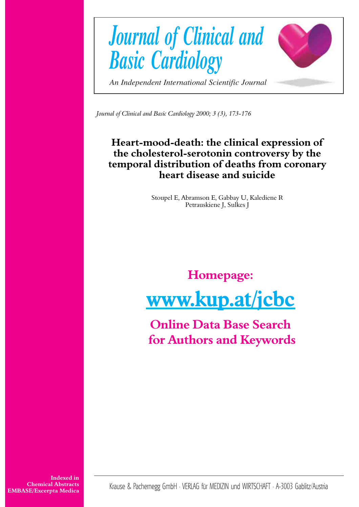

*Journal of Clinical and Basic Cardiology 2000; 3 (3), 173-176*

# **Heart-mood-death: the clinical expression of the cholesterol-serotonin controversy by the temporal distribution of deaths from coronary heart disease and suicide**

Stoupel E, Abramson E, Gabbay U, Kalediene R Petrauskiene J, Sulkes J

# **Homepage: [www.kup.at/jcbc](http://www.kup.at/cgi-bin/popup.pl?url=http://www.kup.at/jcbc)**

**Online Data Base Search  [for Authors and Keywords](http://www.kup.at/db/index.html)**

**Indexed in Chemical Abstracts EMBASE/Excerpta Medica**

Krause & Pachernegg GmbH · VERLAG für MEDIZIN und WIRTSCHAFT · A-3003 Gablitz/Austria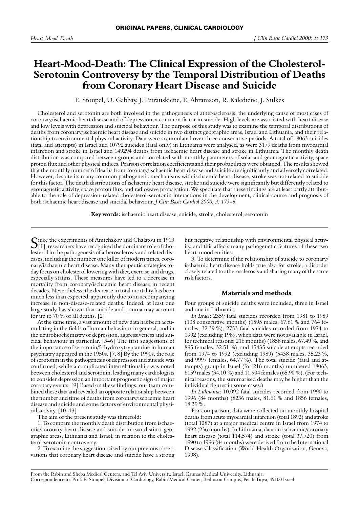# **Heart-Mood-Death: The Clinical Expression of the Cholesterol-Serotonin Controversy by the Temporal Distribution of Deaths from Coronary Heart Disease and Suicide**

E. Stoupel, U. Gabbay, J. Petrauskiene, E. Abramson, R. Kalediene, J. Sulkes

Cholesterol and serotonin are both involved in the pathogenesis of atherosclerosis, the underlying cause of most cases of coronary/ischaemic heart disease and of depression, a common factor in suicide. High levels are associated with heart disease and low levels with depression and suicidal behaviour. The purpose of this study was to examine the temporal distributions of deaths from coronary/ischaemic heart disease and suicide in two distinct geographic areas, Israel and Lithuania, and their relationship to environmental physical activity. Data were accumulated over three consecutive periods. A total of 18063 suicides (fatal and attempts) in Israel and 10792 suicides (fatal only) in Lithuania were analysed, as were 3179 deaths from myocardial infarction and stroke in Israel and 149294 deaths from ischaemic heart disease and stroke in Lithuania. The monthly death distribution was compared between groups and correlated with monthly parameters of solar and geomagnetic activity, space proton flux and other physical indices. Pearson correlation coefficients and their probabilities were obtained. The results showed that the monthly number of deaths from coronary/ischaemic heart disease and suicide are significantly and adversely correlated. However, despite its many common pathogenetic mechanisms with ischaemic heart disease, stroke was not related to suicide for this factor. The death distributions of ischaemic heart disease, stroke and suicide were significantly but differently related to geomagnetic activity, space proton flux, and radiowave propagation. We speculate that these findings are at least partly attributable to the role of depression-related cholesterol-serotonin interactions in the development, clinical course and prognosis of both ischaemic heart disease and suicidal behaviour. *J Clin Basic Cardiol 2000; 3: 173–6.*

**Key words:** ischaemic heart disease, suicide, stroke, cholesterol, serotonin

Since the experiments of Anitchskov and Chalatou in 1913<br>[1], researchers have recognised the dominant role of cholesterol in the pathogenesis of atherosclerosis and related diseases, including the number one killer of modern times, coronary/ischaemic heart disease. Many therapeutic strategies today focus on cholesterol lowering with diet, exercise and drugs, especially statins. These measures have led to a decrease in mortality from coronary/ischaemic heart disease in recent decades. Nevertheless, the decrease in total mortality has been much less than expected, apparently due to an accompanying increase in non-disease-related deaths. Indeed, at least one large study has shown that suicide and trauma may account for up to 70 % of all deaths. [2]

At the same time, a vast amount of new data has been accumulating in the fields of human behaviour in general, and in the neurobiochemistry of depression, aggressiveness and suicidal behaviour in particular. [3–6] The first suggestions of the importance of serotonin/5-hydroxytryptamine in human psychiatry appeared in the 1950s. [7, 8] By the 1990s, the role of serotonin in the pathogenesis of depression and suicide was confirmed, while a complicated interrelationship was noted between cholesterol and serotonin, leading many cardiologists to consider depression an important prognostic sign of major coronary events. [9] Based on these findings, our team combined these data and revealed an opposite relationship between the number and time of deaths from coronary/ischaemic heart disease and suicide and some factors of environmental physical activity. [10–13]

The aim of the present study was threefold:

1. To compare the monthly death distribution from ischaemic/coronary heart disease and suicide in two distinct geographic areas, Lithuania and Israel, in relation to the cholesterol-serotonin controversy.

2. To examine the suggestion raised by our previous observations that coronary heart disease and suicide have a strong but negative relationship with environmental physical activity, and this affects many pathogenetic features of these two heart-mood entities:

3. To determine if the relationship of suicide to coronary/ ischaemic heart disease holds true also for stroke, a disorder closely related to atherosclerosis and sharing many of the same risk factors.

## **Materials and methods**

Four groups of suicide deaths were included, three in Israel and one in Lithuania.

*In Israel*: 2359 fatal suicides recorded from 1981 to 1989 (108 consecutive months) (1595 males, 67.61 % and 764 females, 32.39 %); 2753 fatal suicides recorded from 1974 to 1992 (excluding 1989, when data were not available in Israel, for technical reasons; 216 months) (1858 males, 67.49 %, and 895 females, 32.51 %); and 15435 suicide attempts recorded from 1974 to 1992 (excluding 1989) (5438 males, 35.23 %, and 9997 females, 64.77 %). The total suicide (fatal and attempts) group in Israel (for 216 months) numbered 18063, 6159 males (34.10 %) and 11,904 females (65.90 %). (For technical reasons, the summarised deaths may be higher than the individual figures in some cases.)

*In Lithuania*: 10,092 fatal suicides recorded from 1990 to 1996 (84 months) (8236 males, 81.61 % and 1856 females, 18.39 %.

For comparison, data were collected on monthly hospital deaths from acute myocardial infarction (total 1892) and stroke (total 1287) at a major medical centre in Israel from 1974 to 1992 (236 months). In Lithuania, data on ischaemic/coronary heart disease (total 114,574) and stroke (total 37,720) from 1990 to 1996 (84 months) were derived from the International Disease Classification (World Health Organisation, Geneva, 1998).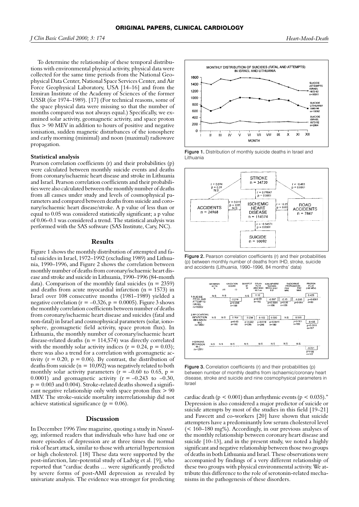To determine the relationship of these temporal distributions with environmental physical activity, physical data were collected for the same time periods from the National Geophysical Data Center, National Space Services Center, and Air Force Geophysical Laboratory, USA [14–16] and from the Izmiran Institute of the Academy of Sciences of the former USSR (for 1974–1989). [17] (For technical reasons, some of the space physical data were missing so that the number of months compared was not always equal.) Specifically, we examined solar activity, geomagnetic activity, and space proton flux > 90 MEV in addition to hours of positive and negative ionisation, sudden magnetic disturbances of the ionosphere and early morning (minimal) and noon (maximal) radiowave propagation.

## **Statistical analysis**

Pearson correlation coefficients (r) and their probabilities (p) were calculated between monthly suicide events and deaths from coronary/ischaemic heart disease and stroke in Lithuania and Israel. Pearson correlation coefficients and their probabilities were also calculated between the monthly number of deaths from all causes under study and levels of cosmophysical parameters and compared between deaths from suicide and coronary/ischaemic heart disease/stroke. A p value of less than or equal to 0.05 was considered statistically significant; a p value of 0.06–0.1 was considered a trend. The statistical analysis was performed with the SAS software (SAS Institute, Cary, NC).

### **Results**

Figure 1 shows the monthly distribution of attempted and fatal suicides in Israel, 1972–1992 (excluding 1989) and Lithuania, 1990–1996, and Figure 2 shows the correlation between monthly number of deaths from coronary/ischaemic heart disease and stroke and suicide in Lithuania, 1990–1996 (84-month data). Comparison of the monthly fatal suicides ( $n = 2359$ ) and deaths from acute myocardial infarction ( $n = 1573$ ) in Israel over 108 consecutive months (1981–1989) yielded a negative correlation ( $r = -0.326$ ,  $p = 0.0005$ ). Figure 3 shows the monthly correlation coefficients between number of deaths from coronary/ischaemic heart disease and suicides (fatal and non-fatal) in Israel and cosmophysical parameters (solar, ionosphere, geomagnetic field activity, space proton flux). In Lithuania, the monthly number of coronary/ischaemic heart disease-related deaths ( $n = 114,574$ ) was directly correlated with the monthly solar activity indices ( $r = 0.24$ ,  $p = 0.03$ ); there was also a trend for a correlation with geomagnetic activity ( $r = 0.20$ ,  $p = 0.06$ ). By contrast, the distribution of deaths from suicide ( $n = 10,092$ ) was negatively related to both monthly solar activity parameters ( $r = -0.60$  to 0.65,  $p =$ 0.0001) and geomagnetic activity ( $r = -0.243$  to  $-0.30$ ,  $p = 0.003$  and  $0.004$ ). Stroke-related deaths showed a significant negative relationship only with space proton flux > 90 MEV. The stroke-suicide mortality interrelationship did not achieve statistical significance ( $p = 0.06$ ).

#### **Discussion**

In December 1996 *Time* magazine, quoting a study in *Neurology,* informed readers that individuals who have had one or more episodes of depression are at three times the normal risk of heart attack, similar to those with arterial hypertension or high cholesterol. [18] These data were supported by the post-infarction, late-potential study of Ladvig et al. [9], who reported that "cardiac deaths … were significantly predicted by severe forms of post-AMI depression as revealed by univariate analysis. The evidence was stronger for predicting







Figure 2. Pearson correlation coefficients (r) and their probabilities (p) between monthly number of deaths from IHD, stroke, suicide and accidents (Lithuania, 1990–1996, 84 months' data)



Figure 3. Correlation coefficients (r) and their probabilities (p) between number of monthly deaths from ischaemic/coronary heart disease, stroke and suicide and nine cosmophysical parameters in Israel

cardiac death ( $p < 0.001$ ) than arrhythmic events ( $p < 0.035$ )." Depression is also considered a major predictor of suicide or suicide attempts by most of the studies in this field [19–21] and Fawcett and co-workers [20] have shown that suicide attempters have a predominantly low serum cholesterol level (< 160–180 mg%). Accordingly, in our previous analyses of the monthly relationship between coronary heart disease and suicide [10–13], and in the present study, we noted a highly significant and negative relationship between those two groups of deaths in both Lithuania and Israel. These observations were accompanied by findings of a very different relationship of these two groups with physical environmental activity. We attribute this difference to the role of serotonin-related mechanisms in the pathogenesis of these disorders.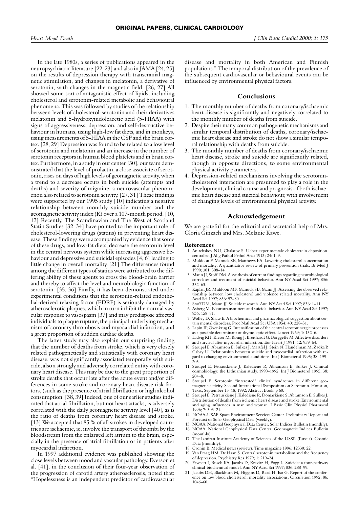In the late 1980s, a series of publications appeared in the neuropsychiatric literature [22, 23] and also in JAMA [24, 25] on the results of depression therapy with transcranial magnetic stimulation, and changes in melatonin, a derivative of serotonin, with changes in the magnetic field. [26, 27] All showed some sort of antagonistic effect of lipids, including cholesterol and serotonin-related metabolic and behavioural phenomena. This was followed by studies of the relationship between levels of cholesterol-serotonin and their derivatives melatonin and 5-hydroxyindoleacetic acid (5-HIAA) with signs of aggressiveness, depression, and self-destructive behaviour in humans, using high-low fat diets, and in monkeys, using measurements of 5-HIAA in the CSF and the brain cortex. [28, 29] Depression was found to be related to a low level of serotonin and melatonin and an increase in the number of serotonin receptors in human blood platelets and in brain cortex. Furthermore, in a study in our center [30], our team demonstrated that the level of prolactin, a close associate of serotonin, rises on days of high levels of geomagnetic activity, when a trend to a decrease occurs in both suicide (attempts and deaths) and severity of migraine, a neurovascular phenomenon also related to serotonin activity. [27, 31] These findings were supported by our 1995 study [10] indicating a negative relationship between monthly suicide number and the geomagnetic activity index (K) over a 107-month period. [10, 12] Recently, The Scandinavian and The West of Scotland Statin Studies [32–34] have pointed to the important role of cholesterol-lowering drugs (statins) in preventing heart disease. These findings were accompanied by evidence that some of these drugs, and low-fat diets, decrease the serotonin level in the central nervous system while increasing aggressive behaviour and depressive and suicidal episodes [4, 6] leading to little change in overall mortality. [21] The differences found among the different types of statins were attributed to the differing ability of these agents to cross the blood-brain barrier and thereby to affect the level and neurobiologic function of serotonin. [35, 36] Finally, it has been demonstrated under experimental conditions that the serotonin-related endothelial-derived relaxing factor (EDRF) is seriously damaged by atherosclerotic plaques, which in turn inhibit the normal vascular response to vasospasm [37] and may predispose affected individuals to plaque rupture, the principal underlying mechanism of coronary thrombosis and myocardial infarction, and a great proportion of sudden cardiac deaths.

The latter study may also explain our surprising finding that the number of deaths from stroke, which is very closely related pathogenetically and statistically with coronary heart disease, was not significantly associated temporally with suicide, also a strongly and adversely correlated entity with coronary heart disease. This may be due to the great proportion of stroke deaths that occur late after the acute event and/or differences in some stroke and coronary heart disease risk factors, (such as the presence of atrial fibrillation or high alcohol consumption. [38, 39] Indeed, one of our earlier studies indicated that atrial fibrillation, but not heart attacks, is adversely correlated with the daily geomagnetic activity level [40], as is the ratio of deaths from coronary heart disease and stroke. [13] We accepted that 85 % of all strokes in developed countries are ischaemic, ie, involve the transport of thrombi by the bloodstream from the enlarged left atrium to the brain, especially in the presence of atrial fibrillation or in patients after myocardial infarction.

In 1997 additional evidence was published showing the close levels between mood and vascular pathology. Everson et al. [41], in the conclusion of their four-year observation of the progression of carotid artery atherosclerosis, noted that: "Hopelessness is an independent predictor of cardiovascular

disease and mortality in both American and Finnish populations." The temporal distribution of the prevalence of the subsequent cardiovascular or behavioural events can be influenced by environmental physical factors.

### **Conclusions**

- 1. The monthly number of deaths from coronary/ischaemic heart disease is significantly and negatively correlated to the monthly number of deaths from suicide.
- 2. Despite their many common pathogenetic mechanisms and similar temporal distribution of deaths, coronary/ischaemic heart disease and stroke do not show a similar temporal relationship with deaths from suicide.
- 3. The monthly number of deaths from coronary/ischaemic heart disease, stroke and suicide are significantly related, though in opposite directions, to some environmental physical activity parameters.
- 4. Depression-related mechanisms involving the serotonincholesterol interaction are presumed to play a role in the development, clinical course and prognosis of both ischaemic heart disease and suicidal behaviour, with involvement of changing levels of environmental physical activity.

#### **Acknowledgement**

We are grateful for the editorial and secretarial help of Mrs. Gloria Ginzach and Mrs. Melanie Kawe.

#### **References**

- 1. Anitchskov NU, Chalatov S. Ueber experimentale cholesterein deposition. centralbe. J Allg Pathol Pathol Anat 1913; 24: 1–9.
- 2. Muldoon F, Manuck SB, Matthews KA. Lowering cholesterol concentration and mortality: A quantitative review of primary prevention trials. Br Med J 1990; 301: 308–14.
- 3. Mann JJ, Stoff DM. A synthesis of current findings regarding neurobiological correlates and treatment of suicidal behavior. Ann NY Acad Sci 1997; 836: 352–63.
- 4. Kaplan JR, Muldoon MF, Manuck SB, Mann JJ. Assessing the observed relationship between low cholesterol and violence related mortality. Ann NY Acad Sci 1997; 836: 57–80.
- 5. Stoff DM, Mann JJ. Suicide research. Ann NY Acad Sci 1997; 836: 1–11.
- 6. Asberg M. Neurotransmitters and suicidal behavior. Ann NY Acad Sci 1997; 836: 158–81.
- 7. Wolley D, Shaw E. A biochemical and pharmacological suggestion about certain mental disorders. Proc Natl Acad Sci USA 1954; 40: 228–31.
- 8. Lapin IP, Oxenkrug G. Intensification of the central serotoninergic processes as a possible determinant of thymoleptic effect. Lancet 1969; 1: 132-6.
- 9. Ladvig KH, Kieser M, Konig J, Breithardt G, Borggeffe M. Affective disorders and survival after myocardial infarction. Eur Heart J 1991; 12: 959–64.
- 10. Stoupel E, Abramson E, Sulkes J, Martfel J, Stein N, Handelman M, Zadka P, Gabay U. Relationship between suicide and myocardial infarction with regard to changing environmental conditions. Int J Biometerol 1995; 38: 199– 203.
- 11. Stoupel E, Petrauskiene J, Kalediene R, Abramson E, Sulkes J. Clinical cosmobiology: the Lithuanian study, 1990–1992. Int J Biometerol 1995; 38: 204–8.
- 12. Stoupel E. Serotonin "interested" clinical syndromes in different geomagnetic activity. Second International Symposium on Serotonin. Houston, Texas, September 15–18, 1992; Abstract Book, p 60.
- 13. Stoupel E, Petrauskiene J, Kalediene R, Domarkiene S, Abramson E, Sulkes J. Distribution of deaths from ischemic heart disease and stroke. Environmental and aging influences in man and woman. J Basic Clin Physiol Pharmacol 1996; 7: 303–21.
- 14. NOAA-USAF Space Environment Services Center. Preliminary Report and Forecast of Solar Geophysical Data (weekly).
- 15. NOAA. National Geophysical Data Center. Solar Indices Bulletin (monthly).
- 16. NOAA. National Geophysical Data Center. Geomagnetic Indices Bulletin (monthly).
- 17. The Izmiran Institute Academy of Sciences of the USSR (Russia). Cosmic Data (monthly).
- 18. Cronin B. Medical news (review). Time magazine 1996; 12330: 22.
- 19. Van Praag HM, De Haan S. Central serotonin metabolism and the frequency of depression. Psychiatry Res 1979; 1: 219–24. 20. Fawcett J, Busch KA, Jacobs D, Kravitz H, Fogg L. Suicide: a four-pathway
- clinical-biochemical model. Ann NY Acad Sci 1997; 836: 288–99.
- 21. Jacobs DH, Blackburn M, Higgins D, Read H, Iso G. Report of the conference on low blood cholesterol: mortality associations. Circulation 1992; 86: 1046–60.